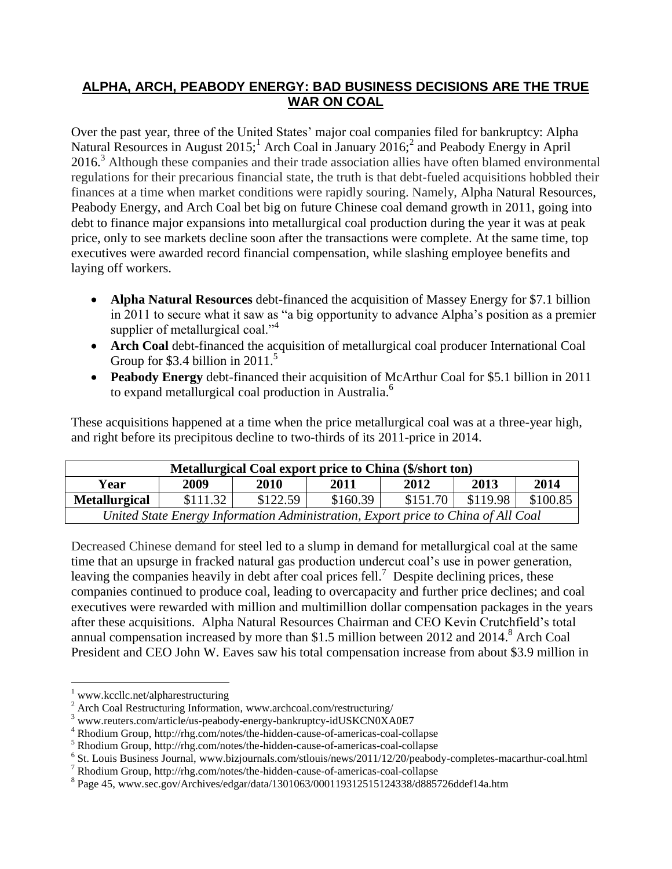### **ALPHA, ARCH, PEABODY ENERGY: BAD BUSINESS DECISIONS ARE THE TRUE WAR ON COAL**

Over the past year, three of the United States' major coal companies filed for bankruptcy: Alpha Natural Resources in August  $2015$ ; Arch Coal in January  $2016$ ; and Peabody Energy in April 2016.<sup>3</sup> Although these companies and their trade association allies have often blamed environmental regulations for their precarious financial state, the truth is that debt-fueled acquisitions hobbled their finances at a time when market conditions were rapidly souring. Namely, Alpha Natural Resources, Peabody Energy, and Arch Coal bet big on future Chinese coal demand growth in 2011, going into debt to finance major expansions into metallurgical coal production during the year it was at peak price, only to see markets decline soon after the transactions were complete. At the same time, top executives were awarded record financial compensation, while slashing employee benefits and laying off workers.

- **Alpha Natural Resources** debt-financed the acquisition of Massey Energy for \$7.1 billion in 2011 to secure what it saw as "a big opportunity to advance Alpha's position as a premier supplier of metallurgical coal."<sup>4</sup>
- **Arch Coal** debt-financed the acquisition of metallurgical coal producer International Coal Group for \$3.4 billion in  $2011$ .<sup>5</sup>
- **Peabody Energy** debt-financed their acquisition of McArthur Coal for \$5.1 billion in 2011 to expand metallurgical coal production in Australia. 6

These acquisitions happened at a time when the price metallurgical coal was at a three-year high, and right before its precipitous decline to two-thirds of its 2011-price in 2014.

| Metallurgical Coal export price to China (\$/short ton)                           |          |          |          |          |          |          |
|-----------------------------------------------------------------------------------|----------|----------|----------|----------|----------|----------|
| Year                                                                              | 2009     | 2010     | 2011     | 2012     | 2013     | 2014     |
| <b>Metallurgical</b>                                                              | \$111.32 | \$122.59 | \$160.39 | \$151.70 | \$119.98 | \$100.85 |
| United State Energy Information Administration, Export price to China of All Coal |          |          |          |          |          |          |

Decreased Chinese demand for steel led to a slump in demand for metallurgical coal at the same time that an upsurge in fracked natural gas production undercut coal's use in power generation, leaving the companies heavily in debt after coal prices fell.<sup>7</sup> Despite declining prices, these companies continued to produce coal, leading to overcapacity and further price declines; and coal executives were rewarded with million and multimillion dollar compensation packages in the years after these acquisitions. Alpha Natural Resources Chairman and CEO Kevin Crutchfield's total annual compensation increased by more than \$1.5 million between 2012 and 2014. <sup>8</sup> Arch Coal President and CEO John W. Eaves saw his total compensation increase from about \$3.9 million in

 $1$  www.kccllc.net/alpharestructuring

<sup>&</sup>lt;sup>2</sup> Arch Coal Restructuring Information, www.archcoal.com/restructuring/

<sup>3</sup> www.reuters.com/article/us-peabody-energy-bankruptcy-idUSKCN0XA0E7

<sup>4</sup> Rhodium Group, http://rhg.com/notes/the-hidden-cause-of-americas-coal-collapse

<sup>5</sup> Rhodium Group, http://rhg.com/notes/the-hidden-cause-of-americas-coal-collapse

<sup>&</sup>lt;sup>6</sup> St. Louis Business Journal, www.bizjournals.com/stlouis/news/2011/12/20/peabody-completes-macarthur-coal.html

<sup>7</sup> Rhodium Group, http://rhg.com/notes/the-hidden-cause-of-americas-coal-collapse

<sup>&</sup>lt;sup>8</sup> Page 45, www.sec.gov/Archives/edgar/data/1301063/000119312515124338/d885726ddef14a.htm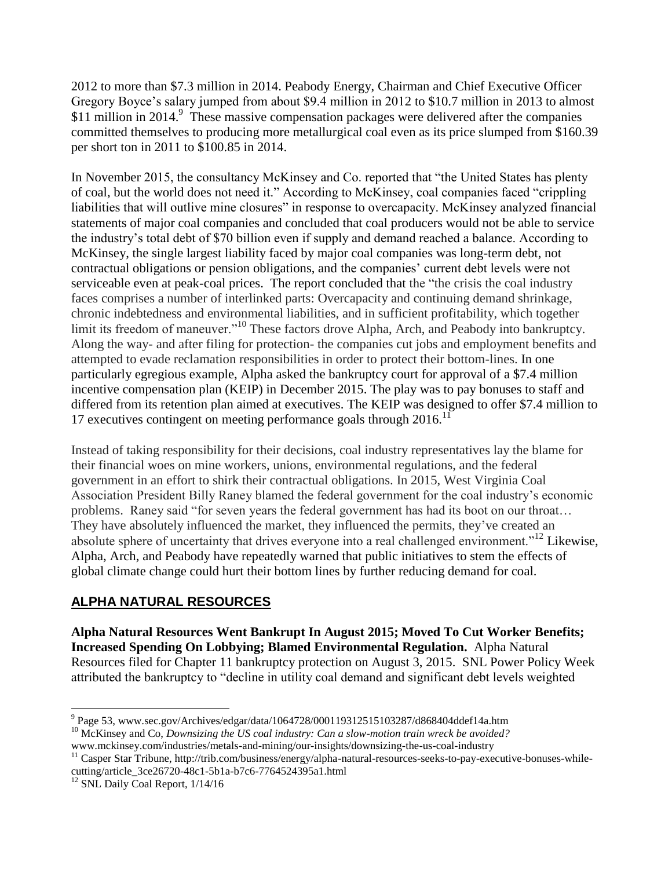2012 to more than \$7.3 million in 2014. Peabody Energy, Chairman and Chief Executive Officer Gregory Boyce's salary jumped from about \$9.4 million in 2012 to \$10.7 million in 2013 to almost \$11 million in 2014.<sup>9</sup> These massive compensation packages were delivered after the companies committed themselves to producing more metallurgical coal even as its price slumped from \$160.39 per short ton in 2011 to \$100.85 in 2014.

In November 2015, the consultancy McKinsey and Co. reported that "the United States has plenty of coal, but the world does not need it." According to McKinsey, coal companies faced "crippling liabilities that will outlive mine closures" in response to overcapacity. McKinsey analyzed financial statements of major coal companies and concluded that coal producers would not be able to service the industry's total debt of \$70 billion even if supply and demand reached a balance. According to McKinsey, the single largest liability faced by major coal companies was long-term debt, not contractual obligations or pension obligations, and the companies' current debt levels were not serviceable even at peak-coal prices. The report concluded that the "the crisis the coal industry faces comprises a number of interlinked parts: Overcapacity and continuing demand shrinkage, chronic indebtedness and environmental liabilities, and in sufficient profitability, which together limit its freedom of maneuver."<sup>10</sup> These factors drove Alpha, Arch, and Peabody into bankruptcy. Along the way- and after filing for protection- the companies cut jobs and employment benefits and attempted to evade reclamation responsibilities in order to protect their bottom-lines. In one particularly egregious example, Alpha asked the bankruptcy court for approval of a \$7.4 million incentive compensation plan (KEIP) in December 2015. The play was to pay bonuses to staff and differed from its retention plan aimed at executives. The KEIP was designed to offer \$7.4 million to 17 executives contingent on meeting performance goals through  $2016$ .<sup>11</sup>

Instead of taking responsibility for their decisions, coal industry representatives lay the blame for their financial woes on mine workers, unions, environmental regulations, and the federal government in an effort to shirk their contractual obligations. In 2015, West Virginia Coal Association President Billy Raney blamed the federal government for the coal industry's economic problems. Raney said "for seven years the federal government has had its boot on our throat… They have absolutely influenced the market, they influenced the permits, they've created an absolute sphere of uncertainty that drives everyone into a real challenged environment."<sup>12</sup> Likewise, Alpha, Arch, and Peabody have repeatedly warned that public initiatives to stem the effects of global climate change could hurt their bottom lines by further reducing demand for coal.

# **ALPHA NATURAL RESOURCES**

**Alpha Natural Resources Went Bankrupt In August 2015; Moved To Cut Worker Benefits; Increased Spending On Lobbying; Blamed Environmental Regulation.** Alpha Natural Resources filed for Chapter 11 bankruptcy protection on August 3, 2015. SNL Power Policy Week attributed the bankruptcy to "decline in utility coal demand and significant debt levels weighted

 9 Page 53, www.sec.gov/Archives/edgar/data/1064728/000119312515103287/d868404ddef14a.htm

<sup>10</sup> McKinsey and Co, *Downsizing the US coal industry: Can a slow-motion train wreck be avoided?* www.mckinsey.com/industries/metals-and-mining/our-insights/downsizing-the-us-coal-industry

<sup>&</sup>lt;sup>11</sup> Casper Star Tribune, http://trib.com/business/energy/alpha-natural-resources-seeks-to-pay-executive-bonuses-whilecutting/article\_3ce26720-48c1-5b1a-b7c6-7764524395a1.html

 $12$  SNL Daily Coal Report,  $1/14/16$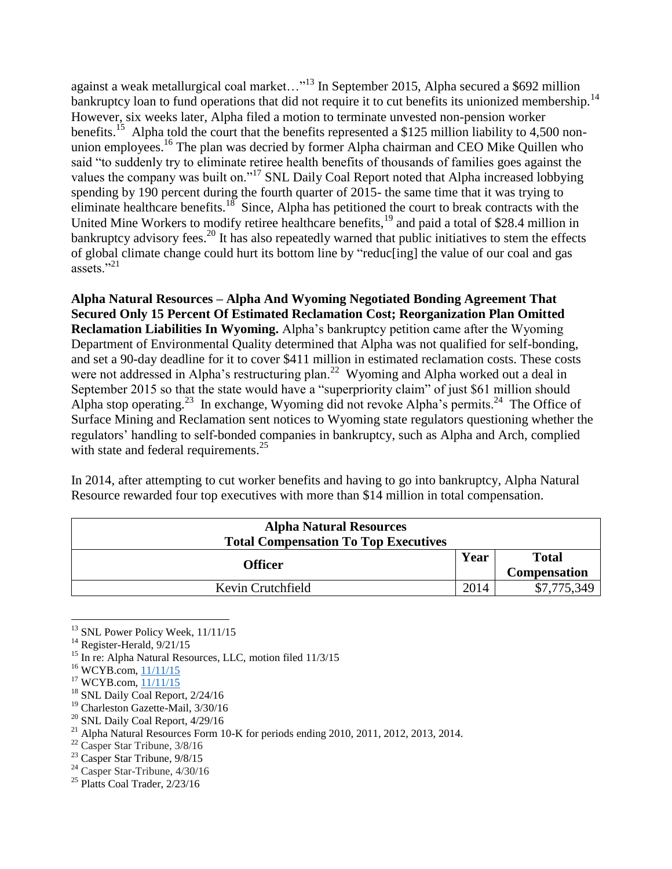against a weak metallurgical coal market... $^{13}$  In September 2015, Alpha secured a \$692 million bankruptcy loan to fund operations that did not require it to cut benefits its unionized membership.<sup>14</sup> However, six weeks later, Alpha filed a motion to terminate unvested non-pension worker benefits.<sup>15</sup> Alpha told the court that the benefits represented a \$125 million liability to 4,500 nonunion employees.<sup>16</sup> The plan was decried by former Alpha chairman and CEO Mike Quillen who said "to suddenly try to eliminate retiree health benefits of thousands of families goes against the values the company was built on."<sup>17</sup> SNL Daily Coal Report noted that Alpha increased lobbying spending by 190 percent during the fourth quarter of 2015- the same time that it was trying to eliminate healthcare benefits.<sup>18</sup> Since, Alpha has petitioned the court to break contracts with the United Mine Workers to modify retiree healthcare benefits,<sup>19</sup> and paid a total of \$28.4 million in bankruptcy advisory fees.<sup>20</sup> It has also repeatedly warned that public initiatives to stem the effects of global climate change could hurt its bottom line by "reduc[ing] the value of our coal and gas assets<sup> $21$ </sup>

**Alpha Natural Resources – Alpha And Wyoming Negotiated Bonding Agreement That Secured Only 15 Percent Of Estimated Reclamation Cost; Reorganization Plan Omitted Reclamation Liabilities In Wyoming.** Alpha's bankruptcy petition came after the Wyoming Department of Environmental Quality determined that Alpha was not qualified for self-bonding, and set a 90-day deadline for it to cover \$411 million in estimated reclamation costs. These costs were not addressed in Alpha's restructuring plan.<sup>22</sup> Wyoming and Alpha worked out a deal in September 2015 so that the state would have a "superpriority claim" of just \$61 million should Alpha stop operating.<sup>23</sup> In exchange, Wyoming did not revoke Alpha's permits.<sup>24</sup> The Office of Surface Mining and Reclamation sent notices to Wyoming state regulators questioning whether the regulators' handling to self-bonded companies in bankruptcy, such as Alpha and Arch, complied with state and federal requirements. $^{25}$ 

In 2014, after attempting to cut worker benefits and having to go into bankruptcy, Alpha Natural Resource rewarded four top executives with more than \$14 million in total compensation.

| <b>Alpha Natural Resources</b>              |      |                     |  |
|---------------------------------------------|------|---------------------|--|
| <b>Total Compensation To Top Executives</b> |      |                     |  |
| Officer                                     |      | <b>Total</b>        |  |
|                                             |      | <b>Compensation</b> |  |
| Kevin Crutchfield                           | 2014 | \$7,775,349         |  |

<sup>&</sup>lt;sup>13</sup> SNL Power Policy Week, 11/11/15

 $\overline{a}$ 

<sup>18</sup> SNL Daily Coal Report, 2/24/16

- <sup>22</sup> Casper Star Tribune, 3/8/16
- <sup>23</sup> Casper Star Tribune, 9/8/15
- $^{24}$  Casper Star-Tribune,  $4/30/16$

 $14$  Register-Herald,  $9/21/15$ 

<sup>&</sup>lt;sup>15</sup> In re: Alpha Natural Resources, LLC, motion filed 11/3/15

<sup>&</sup>lt;sup>16</sup> WCYB.com, [11/11/15](http://www.wcyb.com/news/group-objecting-to-alpha-natural-resources-trying-to-eliminate-retiree-benefits/36384966)

 $17$  WCYB.com,  $11/11/15$ 

<sup>&</sup>lt;sup>19</sup> Charleston Gazette-Mail, 3/30/16

<sup>&</sup>lt;sup>20</sup> SNL Daily Coal Report,  $4/29/16$ 

<sup>&</sup>lt;sup>21</sup> Alpha Natural Resources Form 10-K for periods ending 2010, 2011, 2012, 2013, 2014.

 $25$  Platts Coal Trader,  $2/23/16$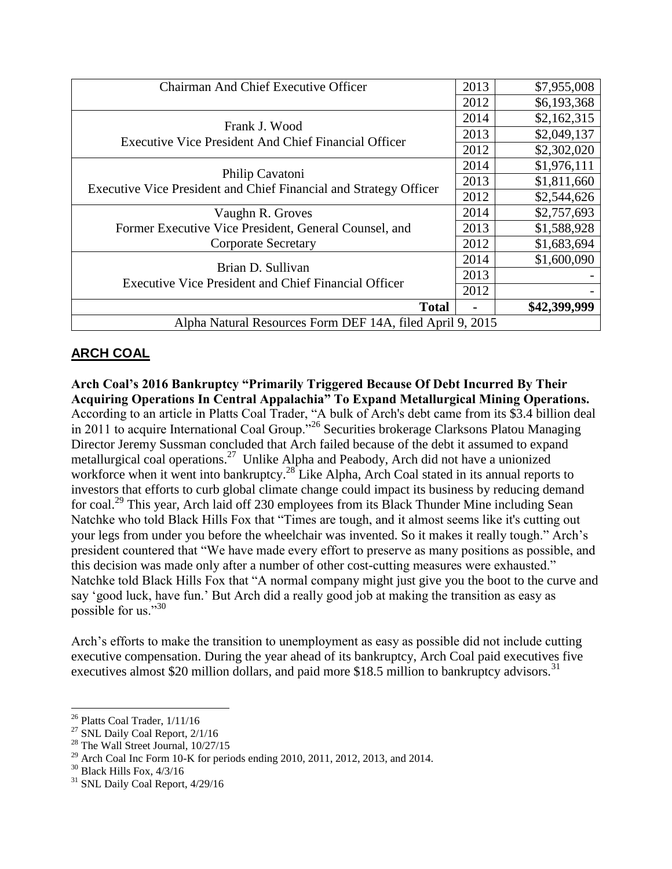| <b>Chairman And Chief Executive Officer</b>                                          | 2013 | \$7,955,008  |  |
|--------------------------------------------------------------------------------------|------|--------------|--|
|                                                                                      | 2012 | \$6,193,368  |  |
|                                                                                      | 2014 | \$2,162,315  |  |
| Frank J. Wood<br><b>Executive Vice President And Chief Financial Officer</b>         |      | \$2,049,137  |  |
|                                                                                      |      | \$2,302,020  |  |
| Philip Cavatoni<br>Executive Vice President and Chief Financial and Strategy Officer | 2014 | \$1,976,111  |  |
|                                                                                      | 2013 | \$1,811,660  |  |
|                                                                                      | 2012 | \$2,544,626  |  |
| Vaughn R. Groves                                                                     | 2014 | \$2,757,693  |  |
| Former Executive Vice President, General Counsel, and<br><b>Corporate Secretary</b>  |      | \$1,588,928  |  |
|                                                                                      |      | \$1,683,694  |  |
| Brian D. Sullivan<br><b>Executive Vice President and Chief Financial Officer</b>     | 2014 | \$1,600,090  |  |
|                                                                                      | 2013 |              |  |
|                                                                                      | 2012 |              |  |
| <b>Total</b>                                                                         |      | \$42,399,999 |  |
| Alpha Natural Resources Form DEF 14A, filed April 9, 2015                            |      |              |  |

# **ARCH COAL**

**Arch Coal's 2016 Bankruptcy "Primarily Triggered Because Of Debt Incurred By Their Acquiring Operations In Central Appalachia" To Expand Metallurgical Mining Operations.** According to an article in Platts Coal Trader, "A bulk of Arch's debt came from its \$3.4 billion deal in 2011 to acquire International Coal Group."<sup>26</sup> Securities brokerage Clarksons Platou Managing Director Jeremy Sussman concluded that Arch failed because of the debt it assumed to expand metallurgical coal operations.<sup>27</sup> Unlike Alpha and Peabody, Arch did not have a unionized workforce when it went into bankruptcy.<sup>28</sup> Like Alpha, Arch Coal stated in its annual reports to investors that efforts to curb global climate change could impact its business by reducing demand for coal.<sup>29</sup> This year, Arch laid off 230 employees from its Black Thunder Mine including Sean Natchke who told Black Hills Fox that "Times are tough, and it almost seems like it's cutting out your legs from under you before the wheelchair was invented. So it makes it really tough." Arch's president countered that "We have made every effort to preserve as many positions as possible, and this decision was made only after a number of other cost-cutting measures were exhausted." Natchke told Black Hills Fox that "A normal company might just give you the boot to the curve and say 'good luck, have fun.' But Arch did a really good job at making the transition as easy as possible for us."<sup>30</sup>

Arch's efforts to make the transition to unemployment as easy as possible did not include cutting executive compensation. During the year ahead of its bankruptcy, Arch Coal paid executives five executives almost \$20 million dollars, and paid more \$18.5 million to bankruptcy advisors.<sup>31</sup>

<sup>26</sup> Platts Coal Trader, 1/11/16

<sup>&</sup>lt;sup>27</sup> SNL Daily Coal Report, 2/1/16

 $28$  The Wall Street Journal,  $10/27/15$ 

<sup>&</sup>lt;sup>29</sup> Arch Coal Inc Form 10-K for periods ending 2010, 2011, 2012, 2013, and 2014.

 $30$  Black Hills Fox,  $4/3/16$ 

 $31$  SNL Daily Coal Report,  $4/29/16$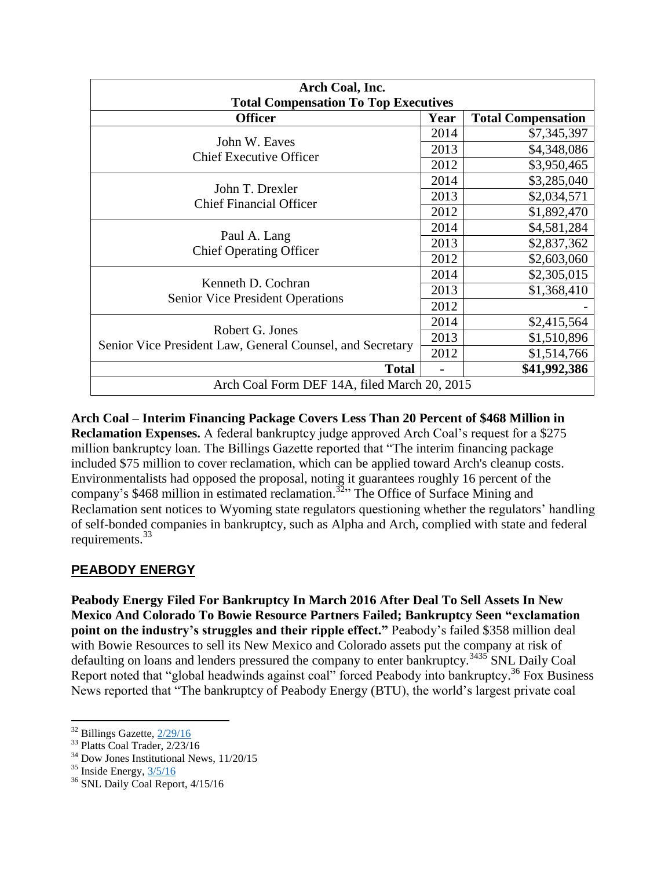| Arch Coal, Inc.<br><b>Total Compensation To Top Executives</b>               |      |                           |  |
|------------------------------------------------------------------------------|------|---------------------------|--|
| <b>Officer</b>                                                               | Year | <b>Total Compensation</b> |  |
|                                                                              |      | \$7,345,397               |  |
| John W. Eaves<br><b>Chief Executive Officer</b>                              | 2013 | \$4,348,086               |  |
|                                                                              | 2012 | \$3,950,465               |  |
|                                                                              |      | \$3,285,040               |  |
| John T. Drexler<br><b>Chief Financial Officer</b>                            | 2013 | \$2,034,571               |  |
|                                                                              | 2012 | \$1,892,470               |  |
| Paul A. Lang<br><b>Chief Operating Officer</b>                               | 2014 | \$4,581,284               |  |
|                                                                              | 2013 | \$2,837,362               |  |
|                                                                              | 2012 | \$2,603,060               |  |
| Kenneth D. Cochran<br><b>Senior Vice President Operations</b>                | 2014 | \$2,305,015               |  |
|                                                                              | 2013 | \$1,368,410               |  |
|                                                                              | 2012 |                           |  |
| Robert G. Jones<br>Senior Vice President Law, General Counsel, and Secretary | 2014 | \$2,415,564               |  |
|                                                                              | 2013 | \$1,510,896               |  |
|                                                                              | 2012 | \$1,514,766               |  |
| <b>Total</b>                                                                 |      | \$41,992,386              |  |
| Arch Coal Form DEF 14A, filed March 20, 2015                                 |      |                           |  |

**Arch Coal – Interim Financing Package Covers Less Than 20 Percent of \$468 Million in Reclamation Expenses.** A federal bankruptcy judge approved Arch Coal's request for a \$275 million bankruptcy loan. The Billings Gazette reported that "The interim financing package included \$75 million to cover reclamation, which can be applied toward Arch's cleanup costs. Environmentalists had opposed the proposal, noting it guarantees roughly 16 percent of the company's \$468 million in estimated reclamation.<sup>32</sup><sup>2</sup> The Office of Surface Mining and Reclamation sent notices to Wyoming state regulators questioning whether the regulators' handling of self-bonded companies in bankruptcy, such as Alpha and Arch, complied with state and federal requirements.<sup>33</sup>

### **PEABODY ENERGY**

**Peabody Energy Filed For Bankruptcy In March 2016 After Deal To Sell Assets In New Mexico And Colorado To Bowie Resource Partners Failed; Bankruptcy Seen "exclamation point on the industry's struggles and their ripple effect."** Peabody's failed \$358 million deal with Bowie Resources to sell its New Mexico and Colorado assets put the company at risk of defaulting on loans and lenders pressured the company to enter bankruptcy.<sup>3435</sup> SNL Daily Coal Report noted that "global headwinds against coal" forced Peabody into bankruptcy.<sup>36</sup> Fox Business News reported that "The bankruptcy of Peabody Energy (BTU), the world's largest private coal

 $32$  Billings Gazette,  $\frac{2}{29/16}$ 

<sup>33</sup> Platts Coal Trader, 2/23/16

<sup>34</sup> Dow Jones Institutional News, 11/20/15

 $35$  Inside Energy,  $3/5/16$ 

<sup>&</sup>lt;sup>36</sup> SNL Daily Coal Report, 4/15/16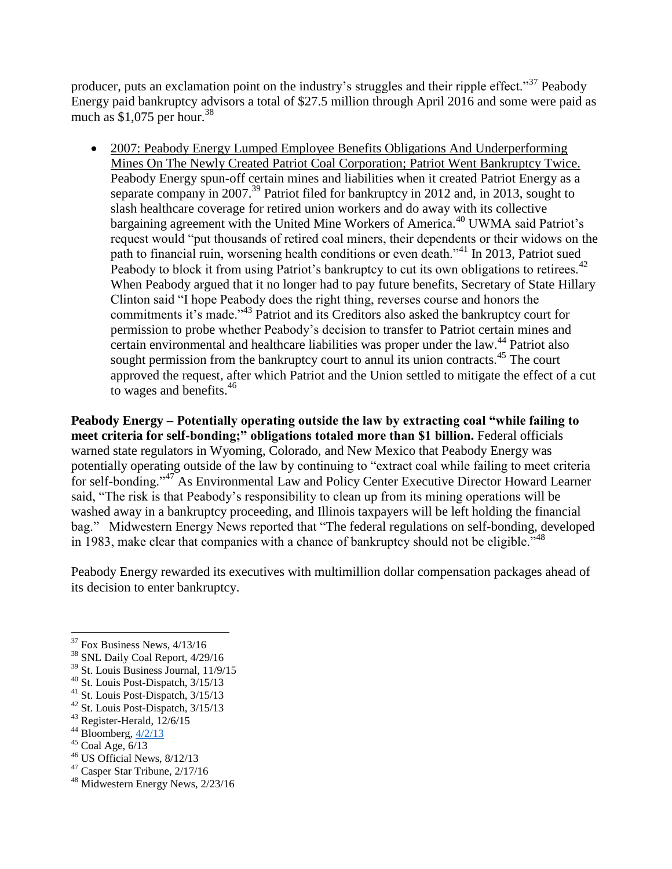producer, puts an exclamation point on the industry's struggles and their ripple effect."<sup>37</sup> Peabody Energy paid bankruptcy advisors a total of \$27.5 million through April 2016 and some were paid as much as \$1,075 per hour. 38

• 2007: Peabody Energy Lumped Employee Benefits Obligations And Underperforming Mines On The Newly Created Patriot Coal Corporation; Patriot Went Bankruptcy Twice. Peabody Energy spun-off certain mines and liabilities when it created Patriot Energy as a separate company in 2007.<sup>39</sup> Patriot filed for bankruptcy in 2012 and, in 2013, sought to slash healthcare coverage for retired union workers and do away with its collective bargaining agreement with the United Mine Workers of America.<sup>40</sup> UWMA said Patriot's request would "put thousands of retired coal miners, their dependents or their widows on the path to financial ruin, worsening health conditions or even death."<sup>41</sup> In 2013, Patriot sued Peabody to block it from using Patriot's bankruptcy to cut its own obligations to retirees.<sup>42</sup> When Peabody argued that it no longer had to pay future benefits, Secretary of State Hillary Clinton said "I hope Peabody does the right thing, reverses course and honors the commitments it's made."<sup>43</sup> Patriot and its Creditors also asked the bankruptcy court for permission to probe whether Peabody's decision to transfer to Patriot certain mines and certain environmental and healthcare liabilities was proper under the law.<sup>44</sup> Patriot also sought permission from the bankruptcy court to annul its union contracts.<sup>45</sup> The court approved the request, after which Patriot and the Union settled to mitigate the effect of a cut to wages and benefits.<sup>46</sup>

**Peabody Energy – Potentially operating outside the law by extracting coal "while failing to meet criteria for self-bonding;" obligations totaled more than \$1 billion.** Federal officials warned state regulators in Wyoming, Colorado, and New Mexico that Peabody Energy was potentially operating outside of the law by continuing to "extract coal while failing to meet criteria for self-bonding."<sup>47</sup> As Environmental Law and Policy Center Executive Director Howard Learner said, "The risk is that Peabody's responsibility to clean up from its mining operations will be washed away in a bankruptcy proceeding, and Illinois taxpayers will be left holding the financial bag." Midwestern Energy News reported that "The federal regulations on self-bonding, developed in 1983, make clear that companies with a chance of bankruptcy should not be eligible."<sup>48</sup>

Peabody Energy rewarded its executives with multimillion dollar compensation packages ahead of its decision to enter bankruptcy.

 $\overline{a}$ 

<sup>46</sup> US Official News, 8/12/13

 $37$  Fox Business News,  $4/13/16$ 

<sup>&</sup>lt;sup>38</sup> SNL Daily Coal Report, 4/29/16

<sup>39</sup> St. Louis Business Journal, 11/9/15

<sup>40</sup> St. Louis Post-Dispatch, 3/15/13

<sup>41</sup> St. Louis Post-Dispatch, 3/15/13

<sup>42</sup> St. Louis Post-Dispatch, 3/15/13

<sup>43</sup> Register-Herald, 12/6/15

 $44$  Bloomberg,  $\frac{4}{2}$ 

 $45$  Coal Age,  $6/13$ 

<sup>47</sup> Casper Star Tribune, 2/17/16

<sup>&</sup>lt;sup>48</sup> Midwestern Energy News, 2/23/16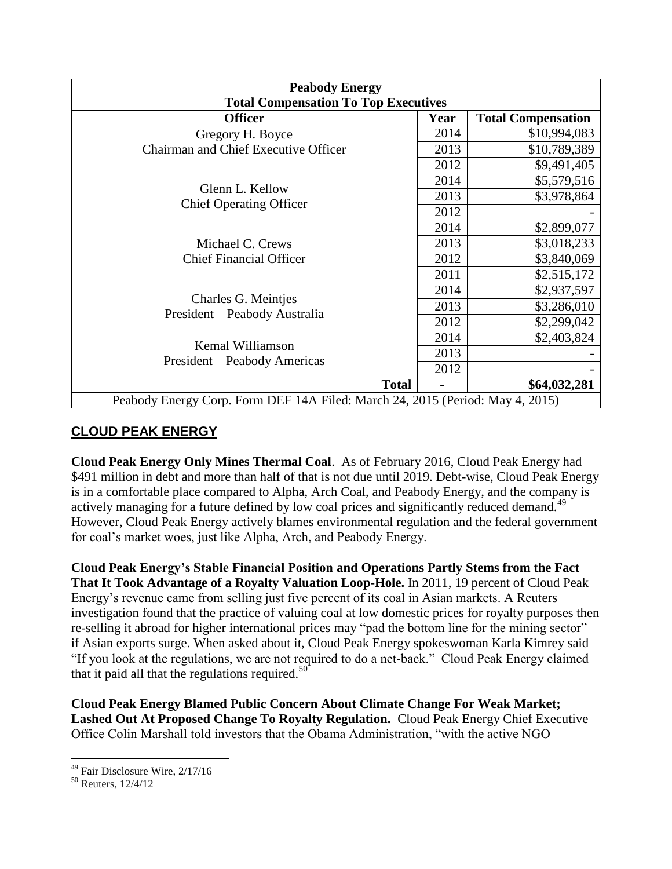| <b>Peabody Energy</b><br><b>Total Compensation To Top Executives</b>          |      |                           |  |
|-------------------------------------------------------------------------------|------|---------------------------|--|
| <b>Officer</b>                                                                | Year | <b>Total Compensation</b> |  |
| Gregory H. Boyce                                                              | 2014 | \$10,994,083              |  |
| <b>Chairman and Chief Executive Officer</b>                                   | 2013 | \$10,789,389              |  |
|                                                                               |      | \$9,491,405               |  |
|                                                                               |      | \$5,579,516               |  |
| Glenn L. Kellow<br><b>Chief Operating Officer</b>                             | 2013 | \$3,978,864               |  |
|                                                                               | 2012 |                           |  |
|                                                                               | 2014 | \$2,899,077               |  |
| Michael C. Crews                                                              | 2013 | \$3,018,233               |  |
| <b>Chief Financial Officer</b>                                                | 2012 | \$3,840,069               |  |
|                                                                               | 2011 | \$2,515,172               |  |
|                                                                               | 2014 | \$2,937,597               |  |
| Charles G. Meintjes                                                           | 2013 | \$3,286,010               |  |
| President – Peabody Australia                                                 | 2012 | \$2,299,042               |  |
|                                                                               | 2014 | \$2,403,824               |  |
| Kemal Williamson<br>President – Peabody Americas                              | 2013 |                           |  |
|                                                                               | 2012 |                           |  |
| <b>Total</b>                                                                  |      | \$64,032,281              |  |
| Peabody Energy Corp. Form DEF 14A Filed: March 24, 2015 (Period: May 4, 2015) |      |                           |  |

#### **CLOUD PEAK ENERGY**

**Cloud Peak Energy Only Mines Thermal Coal**. As of February 2016, Cloud Peak Energy had \$491 million in debt and more than half of that is not due until 2019. Debt-wise, Cloud Peak Energy is in a comfortable place compared to Alpha, Arch Coal, and Peabody Energy, and the company is actively managing for a future defined by low coal prices and significantly reduced demand.<sup>49</sup> However, Cloud Peak Energy actively blames environmental regulation and the federal government for coal's market woes, just like Alpha, Arch, and Peabody Energy.

**Cloud Peak Energy's Stable Financial Position and Operations Partly Stems from the Fact That It Took Advantage of a Royalty Valuation Loop-Hole.** In 2011, 19 percent of Cloud Peak Energy's revenue came from selling just five percent of its coal in Asian markets. A Reuters investigation found that the practice of valuing coal at low domestic prices for royalty purposes then re-selling it abroad for higher international prices may "pad the bottom line for the mining sector" if Asian exports surge. When asked about it, Cloud Peak Energy spokeswoman Karla Kimrey said "If you look at the regulations, we are not required to do a net-back." Cloud Peak Energy claimed that it paid all that the regulations required.<sup>50</sup>

**Cloud Peak Energy Blamed Public Concern About Climate Change For Weak Market; Lashed Out At Proposed Change To Royalty Regulation.** Cloud Peak Energy Chief Executive Office Colin Marshall told investors that the Obama Administration, "with the active NGO

<sup>&</sup>lt;sup>49</sup> Fair Disclosure Wire, 2/17/16

<sup>50</sup> Reuters, 12/4/12